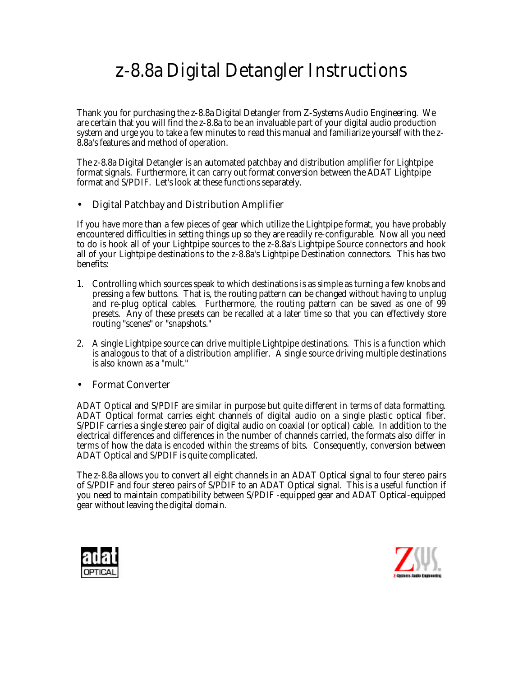# z-8.8a Digital Detangler Instructions

Thank you for purchasing the z-8.8a Digital Detangler from Z-Systems Audio Engineering. We are certain that you will find the z-8.8a to be an invaluable part of your digital audio production system and urge you to take a few minutes to read this manual and familiarize yourself with the z-8.8a's features and method of operation.

The z-8.8a Digital Detangler is an automated patchbay and distribution amplifier for Lightpipe format signals. Furthermore, it can carry out format conversion between the ADAT Lightpipe format and S/PDIF. Let's look at these functions separately.

## • Digital Patchbay and Distribution Amplifier

If you have more than a few pieces of gear which utilize the Lightpipe format, you have probably encountered difficulties in setting things up so they are readily re-configurable. Now all you need to do is hook all of your Lightpipe sources to the z-8.8a's Lightpipe Source connectors and hook all of your Lightpipe destinations to the z-8.8a's Lightpipe Destination connectors. This has two benefits:

- 1. Controlling which sources speak to which destinations is as simple as turning a few knobs and pressing a few buttons. That is, the routing pattern can be changed without having to unplug and re-plug optical cables. Furthermore, the routing pattern can be saved as one of 99 presets. Any of these presets can be recalled at a later time so that you can effectively store routing "scenes" or "snapshots."
- 2. A single Lightpipe source can drive multiple Lightpipe destinations. This is a function which is analogous to that of a distribution amplifier. A single source driving multiple destinations is also known as a "mult."

## • Format Converter

ADAT Optical and S/PDIF are similar in purpose but quite different in terms of data formatting. ADAT Optical format carries eight channels of digital audio on a single plastic optical fiber. S/PDIF carries a single stereo pair of digital audio on coaxial (or optical) cable. In addition to the electrical differences and differences in the number of channels carried, the formats also differ in terms of how the data is encoded within the streams of bits. Consequently, conversion between ADAT Optical and S/PDIF is quite complicated.

The z-8.8a allows you to convert all eight channels in an ADAT Optical signal to four stereo pairs of S/PDIF *and* four stereo pairs of S/PDIF to an ADAT Optical signal. This is a useful function if you need to maintain compatibility between S/PDIF -equipped gear and ADAT Optical-equipped gear without leaving the digital domain.



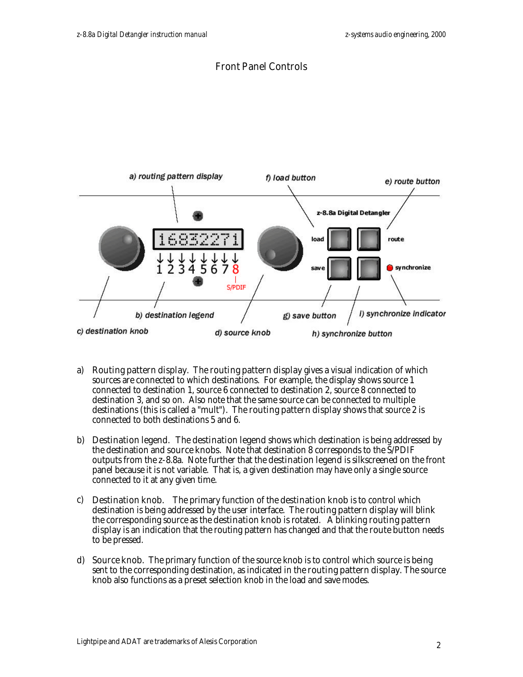## Front Panel Controls



- a) **Routing pattern display.** The **routing pattern display** gives a visual indication of which sources are connected to which destinations. For example, the display shows source 1 connected to destination 1, source 6 connected to destination 2, source 8 connected to destination 3, and so on. Also note that the same source can be connected to multiple destinations (this is called a "mult"). The **routing pattern display** shows that source 2 is connected to both destinations 5 and 6.
- b) **Destination legend.** The **destination legend** shows which destination is being addressed by the destination and **source knobs**. Note that destination 8 corresponds to the S/PDIF outputs from the z-8.8a. Note further that the **destination legend** is silkscreened on the front panel because it is not variable. That is, a given destination may have only a single source connected to it at any given time.
- c) **Destination knob.** The primary function of the **destination knob** is to control which destination is being addressed by the user interface. The routing pattern display will blink the corresponding source as the **destination knob** is rotated. A blinking routing pattern **display** is an indication that the routing pattern has changed and that the **route button** needs to be pressed.
- d) **Source knob.** The primary function of the source knob is to control which source is being sent to the corresponding destination, as indicated in the **routing pattern display**. The source knob also functions as a preset selection knob in the load and save modes.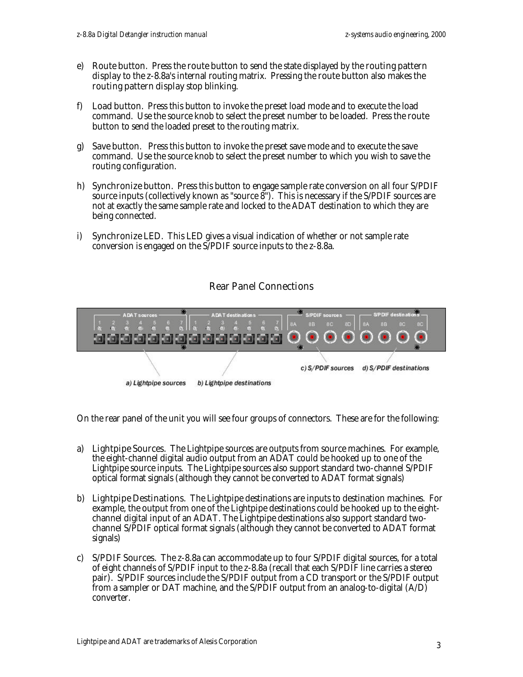- e) Route button. Press the route button to send the state displayed by the routing pattern **display** to the z-8.8a's internal routing matrix. Pressing the **route button** also makes the routing pattern display stop blinking.
- f) Load button. Press this button to invoke the preset load mode and to execute the load command. Use the source knob to select the preset number to be loaded. Press the **route button** to send the loaded preset to the routing matrix.
- g) **Save button.** Press this button to invoke the preset save mode and to execute the save command. Use the source knob to select the preset number to which you wish to save the routing configuration.
- h) **Synchronize button.** Press this button to engage sample rate conversion on all four S/PDIF source inputs (collectively known as "source 8"). This is necessary if the S/PDIF sources are not at exactly the same sample rate and locked to the ADAT destination to which they are being connected.
- i) **Synchronize LED.** This LED gives a visual indication of whether or not sample rate conversion is engaged on the S/PDIF source inputs to the z-8.8a.

## Rear Panel Connections



On the rear panel of the unit you will see four groups of connectors. These are for the following:

- a) Lightpipe Sources. The Lightpipe sources are outputs from source machines. For example, the eight-channel digital audio output from an ADAT could be hooked up to one of the Lightpipe source inputs. The Lightpipe sources also support standard two-channel S/PDIF optical format signals (although they cannot be converted to ADAT format signals)
- b) Lightpipe Destinations. The Lightpipe destinations are inputs to destination machines. For example, the output from one of the Lightpipe destinations could be hooked up to the eightchannel digital input of an ADAT. The Lightpipe destinations also support standard twochannel S/PDIF optical format signals (although they cannot be converted to ADAT format signals)
- c) **S/PDIF Sources.** The  $z$ -8.8a can accommodate up to four S/PDIF digital sources, for a total of eight channels of S/PDIF input to the z-8.8a (recall that each S/PDIF line carries a stereo pair). S/PDIF sources include the S/PDIF output from a CD transport or the S/PDIF output from a sampler or DAT machine, and the S/PDIF output from an analog-to-digital  $(A/D)$ converter.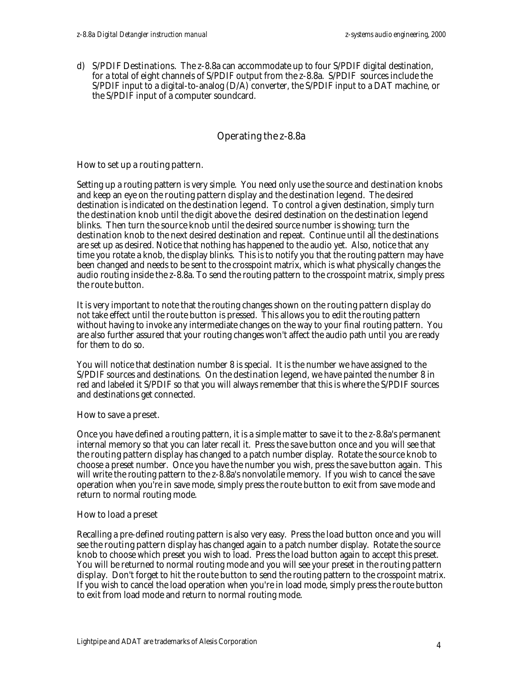d) S/PDIF Destinations. The z-8.8a can accommodate up to four S/PDIF digital destination, for a total of eight channels of S/PDIF output from the z-8.8a. S/PDIF sources include the S/PDIF input to a digital-to-analog (D/A) converter, the S/PDIF input to a DAT machine, or the S/PDIF input of a computer soundcard.

# Operating the z-8.8a

#### How to set up a routing pattern.

Setting up a routing pattern is very simple. You need only use the **source** and **destination knobs** and keep an eye on the **routing pattern display** and the **destination legend**. The desired destination is indicated on the **destination legend**. To control a given destination, simply turn the **destination knob** until the digit above the desired destination on the **destination legend** blinks. Then turn the **source knob** until the desired source number is showing; turn the destination knob to the next desired destination and repeat. Continue until all the destinations are set up as desired. Notice that nothing has happened to the audio yet. Also, notice that any time you rotate a knob, the display blinks. This is to notify you that the routing pattern may have been changed and needs to be sent to the crosspoint matrix, which is what physically changes the audio routing inside the z-8.8a. To send the routing pattern to the crosspoint matrix, simply press the route button.

It is very important to note that the routing changes shown on the **routing pattern display** do not take effect until the **route button** is pressed. This allows you to edit the routing pattern without having to invoke any intermediate changes on the way to your final routing pattern. You are also further assured that your routing changes won't affect the audio path until you are ready for them to do so.

You will notice that destination number 8 is special. It is the number we have assigned to the S/PDIF sources and destinations. On the **destination legend**, we have painted the number 8 in red and labeled it S/PDIF so that you will always remember that this is where the S/PDIF sources and destinations get connected.

#### How to save a preset.

Once you have defined a routing pattern, it is a simple matter to save it to the z-8.8a's permanent internal memory so that you can later recall it. Press the **save button** once and you will see that the **routing pattern display** has changed to a patch number display. Rotate the **source knob** to choose a preset number. Once you have the number you wish, press the **save button** again. This will write the routing pattern to the z-8.8a's nonvolatile memory. If you wish to cancel the save operation when you're in save mode, simply press the **route button** to exit from save mode and return to normal routing mode.

#### How to load a preset

Recalling a pre-defined routing pattern is also very easy. Press the **load button** once and you will see the **routing pattern display** has changed again to a patch number display. Rotate the **source** knob to choose which preset you wish to load. Press the **load button** again to accept this preset. You will be returned to normal routing mode and you will see your preset in the **routing pattern display**. Don't forget to hit the **route button** to send the routing pattern to the crosspoint matrix. If you wish to cancel the load operation when you're in load mode, simply press the **route button** to exit from load mode and return to normal routing mode.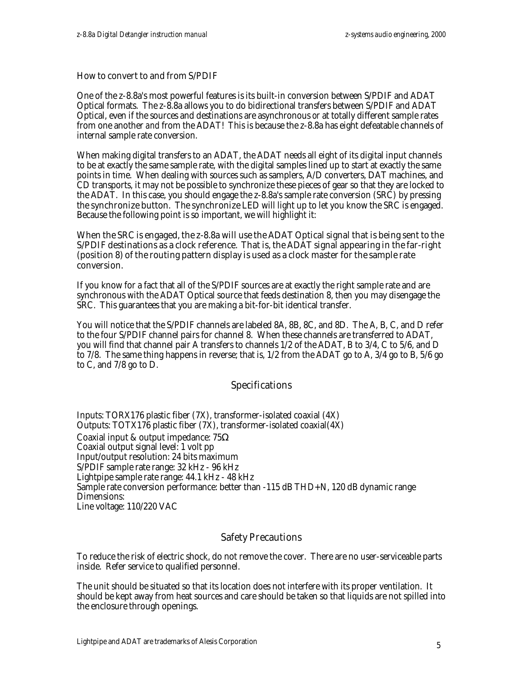#### How to convert to and from S/PDIF

One of the z-8.8a's most powerful features is its built-in conversion between S/PDIF and ADAT Optical formats. The z-8.8a allows you to do bidirectional transfers between S/PDIF and ADAT Optical, even if the sources and destinations are asynchronous *or* at totally different sample rates from one another *and* from the ADAT! This is because the z-8.8a has eight defeatable channels of internal sample rate conversion.

When making digital transfers to an ADAT, the ADAT needs all eight of its digital input channels to be at exactly the same sample rate, with the digital samples lined up to start at exactly the same points in time. When dealing with sources such as samplers, A/D converters, DAT machines, and CD transports, it may not be possible to synchronize these pieces of gear so that they are locked to the ADAT. In this case, you should engage the z-8.8a's sample rate conversion (SRC) by pressing the **synchronize button.** The **synchronize LED** will light up to let you know the SRC is engaged. Because the following point is so important, we will highlight it:

#### When the SRC is engaged, the z-8.8a will use the ADAT Optical signal that is being sent to the S/PDIF destinations as a clock reference. That is, the ADAT signal appearing in the far-right (position 8) of the routing pattern display is used as a clock master for the sample rate conversion.

If you know for a fact that all of the S/PDIF sources are at exactly the right sample rate and are synchronous with the ADAT Optical source that feeds destination 8, then you may disengage the SRC. This guarantees that you are making a bit-for-bit identical transfer.

You will notice that the S/PDIF channels are labeled 8A, 8B, 8C, and 8D. The A, B, C, and D refer to the four S/PDIF channel pairs for channel 8. When these channels are transferred to ADAT, you will find that channel pair A transfers to channels 1/2 of the ADAT, B to 3/4, C to 5/6, and D to 7/8. The same thing happens in reverse; that is, 1/2 from the ADAT go to A, 3/4 go to B, 5/6 go to C, and 7/8 go to D.

## Specifications

Inputs: TORX176 plastic fiber (7X), transformer-isolated coaxial (4X) Outputs: TOTX176 plastic fiber (7X), transformer-isolated coaxial(4X) Coaxial input & output impedance: 75Ω Coaxial output signal level: 1 volt pp Input/output resolution: 24 bits maximum S/PDIF sample rate range: 32 kHz - 96 kHz Lightpipe sample rate range: 44.1 kHz - 48 kHz Sample rate conversion performance: better than -115 dB THD+N, 120 dB dynamic range Dimensions: Line voltage: 110/220 VAC

#### Safety Precautions

To reduce the risk of electric shock, do not remove the cover. There are no user-serviceable parts inside. Refer service to qualified personnel.

The unit should be situated so that its location does not interfere with its proper ventilation. It should be kept away from heat sources and care should be taken so that liquids are not spilled into the enclosure through openings.